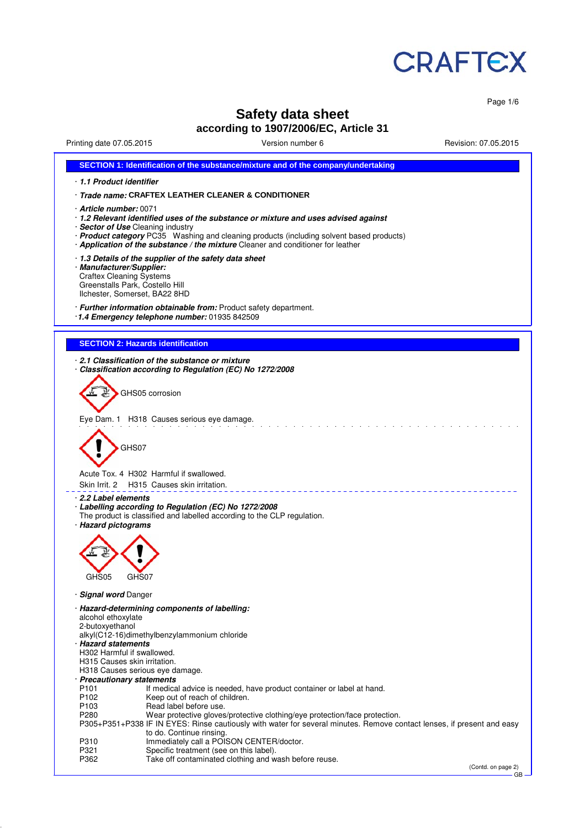

Page 1/6

# **Safety data sheet according to 1907/2006/EC, Article 31**

Printing date 07.05.2015 Version number 6 Revision: 07.05.2015

|                                                                                                                                                                                         | SECTION 1: Identification of the substance/mixture and of the company/undertaking                                                                                                                                                                                                                                                       |  |  |  |  |
|-----------------------------------------------------------------------------------------------------------------------------------------------------------------------------------------|-----------------------------------------------------------------------------------------------------------------------------------------------------------------------------------------------------------------------------------------------------------------------------------------------------------------------------------------|--|--|--|--|
| 1.1 Product identifier                                                                                                                                                                  |                                                                                                                                                                                                                                                                                                                                         |  |  |  |  |
|                                                                                                                                                                                         | Trade name: CRAFTEX LEATHER CLEANER & CONDITIONER                                                                                                                                                                                                                                                                                       |  |  |  |  |
|                                                                                                                                                                                         | <b>Article number: 0071</b><br>· 1.2 Relevant identified uses of the substance or mixture and uses advised against<br>· Sector of Use Cleaning industry<br>· Product category PC35 Washing and cleaning products (including solvent based products)<br>· Application of the substance / the mixture Cleaner and conditioner for leather |  |  |  |  |
| 1.3 Details of the supplier of the safety data sheet<br>· Manufacturer/Supplier:<br><b>Craftex Cleaning Systems</b><br>Greenstalls Park, Costello Hill<br>Ilchester, Somerset, BA22 8HD |                                                                                                                                                                                                                                                                                                                                         |  |  |  |  |
|                                                                                                                                                                                         | · Further information obtainable from: Product safety department.<br>1.4 Emergency telephone number: 01935 842509                                                                                                                                                                                                                       |  |  |  |  |
|                                                                                                                                                                                         | <b>SECTION 2: Hazards identification</b>                                                                                                                                                                                                                                                                                                |  |  |  |  |
|                                                                                                                                                                                         |                                                                                                                                                                                                                                                                                                                                         |  |  |  |  |
|                                                                                                                                                                                         | 2.1 Classification of the substance or mixture<br>Classification according to Regulation (EC) No 1272/2008                                                                                                                                                                                                                              |  |  |  |  |
|                                                                                                                                                                                         | GHS05 corrosion                                                                                                                                                                                                                                                                                                                         |  |  |  |  |
|                                                                                                                                                                                         | Eye Dam. 1 H318 Causes serious eye damage.                                                                                                                                                                                                                                                                                              |  |  |  |  |
| GHS07                                                                                                                                                                                   | Acute Tox. 4 H302 Harmful if swallowed.                                                                                                                                                                                                                                                                                                 |  |  |  |  |
| Skin Irrit. 2                                                                                                                                                                           | H315 Causes skin irritation.                                                                                                                                                                                                                                                                                                            |  |  |  |  |
| 2.2 Label elements<br>· Hazard pictograms<br>GHS05                                                                                                                                      | · Labelling according to Regulation (EC) No 1272/2008<br>The product is classified and labelled according to the CLP regulation.<br>GHS07                                                                                                                                                                                               |  |  |  |  |
| <b>Signal word Danger</b>                                                                                                                                                               |                                                                                                                                                                                                                                                                                                                                         |  |  |  |  |
| alcohol ethoxylate<br>2-butoxyethanol<br>· Hazard statements<br>H302 Harmful if swallowed.<br>H315 Causes skin irritation.                                                              | · Hazard-determining components of labelling:<br>alkyl(C12-16)dimethylbenzylammonium chloride                                                                                                                                                                                                                                           |  |  |  |  |
|                                                                                                                                                                                         | H318 Causes serious eye damage.                                                                                                                                                                                                                                                                                                         |  |  |  |  |
| · Precautionary statements<br>P101                                                                                                                                                      | If medical advice is needed, have product container or label at hand.                                                                                                                                                                                                                                                                   |  |  |  |  |
| P102                                                                                                                                                                                    | Keep out of reach of children.                                                                                                                                                                                                                                                                                                          |  |  |  |  |
| P <sub>103</sub><br>P280                                                                                                                                                                | Read label before use.<br>Wear protective gloves/protective clothing/eye protection/face protection.                                                                                                                                                                                                                                    |  |  |  |  |
|                                                                                                                                                                                         | P305+P351+P338 IF IN EYES: Rinse cautiously with water for several minutes. Remove contact lenses, if present and easy<br>to do. Continue rinsing.                                                                                                                                                                                      |  |  |  |  |
| P310                                                                                                                                                                                    | Immediately call a POISON CENTER/doctor.                                                                                                                                                                                                                                                                                                |  |  |  |  |
| P321<br>P362                                                                                                                                                                            | Specific treatment (see on this label).<br>Take off contaminated clothing and wash before reuse.                                                                                                                                                                                                                                        |  |  |  |  |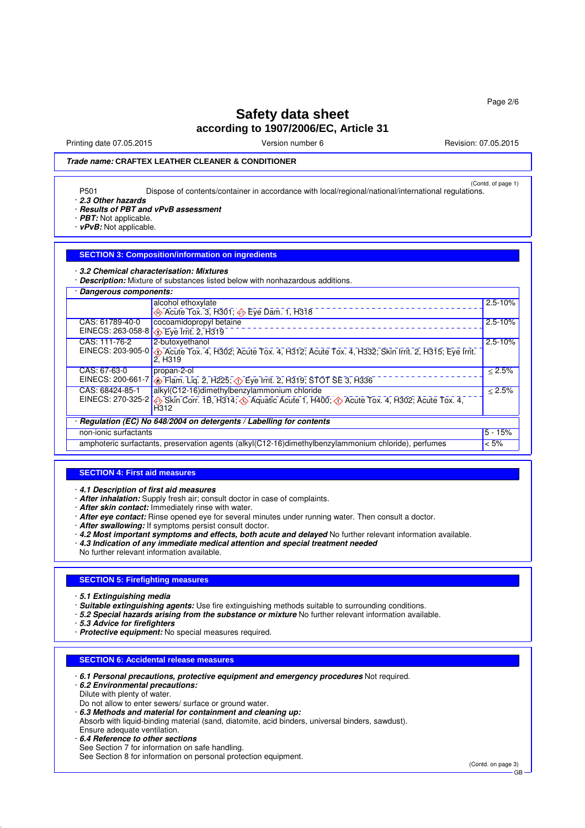Printing date 07.05.2015 **Principal and COVID-100** Version number 6 Revision: 07.05.2015

### **Trade name: CRAFTEX LEATHER CLEANER & CONDITIONER**

(Contd. of page 1) P501 Dispose of contents/container in accordance with local/regional/national/international regulations.

· **2.3 Other hazards**

### · **Results of PBT and vPvB assessment**

- · **PBT:** Not applicable.
- · **vPvB:** Not applicable.

#### **SECTION 3: Composition/information on ingredients**

· **3.2 Chemical characterisation: Mixtures**

· **Description:** Mixture of substances listed below with nonhazardous additions.

| Dangerous components:                                                                                           |                                                                                                                                                  |             |  |  |
|-----------------------------------------------------------------------------------------------------------------|--------------------------------------------------------------------------------------------------------------------------------------------------|-------------|--|--|
|                                                                                                                 | alcohol ethoxylate                                                                                                                               | $2.5 - 10%$ |  |  |
|                                                                                                                 | Acute Tox. 3, H301; $\Leftrightarrow$ Eye Dam. 1, H318                                                                                           |             |  |  |
| CAS: 61789-40-0                                                                                                 | cocoamidopropyl betaine                                                                                                                          | $2.5 - 10%$ |  |  |
|                                                                                                                 | EINECS: 263-058-8 \\ Eye Irrit. 2, H319                                                                                                          |             |  |  |
| CAS: 111-76-2                                                                                                   | 2-butoxyethanol                                                                                                                                  | $2.5 - 10%$ |  |  |
|                                                                                                                 | EINECS: 203-905-0 $\Diamond$ Acute Tox. 4, H302; Acute Tox. 4, H312; Acute Tox. 4, H332; Skin Irrit. 2, H315; Eye Irrit.<br>2. H <sub>3</sub> 19 |             |  |  |
| CAS: 67-63-0                                                                                                    | propan-2-ol                                                                                                                                      | < 2.5%      |  |  |
|                                                                                                                 | EINECS: 200-661-7 <b>4</b> Flam. Liq. 2, H225; 4 Eye Irrit. 2, H319; STOT SE 3, H336                                                             |             |  |  |
| CAS: 68424-85-1                                                                                                 | alkyl(C12-16)dimethylbenzylammonium chloride                                                                                                     | < 2.5%      |  |  |
|                                                                                                                 | EINECS: 270-325-2 <>>Skin Corr. 1B, H314; <>> Aquatic Acute 1, H400; <<<<< Acute Tox. 4, H302; Acute Tox. 4,<br>H <sub>312</sub>                 |             |  |  |
| Regulation (EC) No 648/2004 on detergents / Labelling for contents                                              |                                                                                                                                                  |             |  |  |
| non-ionic surfactants                                                                                           |                                                                                                                                                  |             |  |  |
| $< 5\%$<br>amphoteric surfactants, preservation agents (alkyl(C12-16)dimethylbenzylammonium chloride), perfumes |                                                                                                                                                  |             |  |  |

#### **SECTION 4: First aid measures**

· **4.1 Description of first aid measures**

- · **After inhalation:** Supply fresh air; consult doctor in case of complaints.
- · **After skin contact:** Immediately rinse with water.
- · **After eye contact:** Rinse opened eye for several minutes under running water. Then consult a doctor.
- · **After swallowing:** If symptoms persist consult doctor.
- · **4.2 Most important symptoms and effects, both acute and delayed** No further relevant information available.
- · **4.3 Indication of any immediate medical attention and special treatment needed**
- No further relevant information available.

### **SECTION 5: Firefighting measures**

· **5.1 Extinguishing media**

· **Suitable extinguishing agents:** Use fire extinguishing methods suitable to surrounding conditions.

- · **5.2 Special hazards arising from the substance or mixture** No further relevant information available.
- · **5.3 Advice for firefighters**
- · **Protective equipment:** No special measures required.

#### **SECTION 6: Accidental release measures**

- · **6.1 Personal precautions, protective equipment and emergency procedures** Not required.
- · **6.2 Environmental precautions:** Dilute with plenty of water.
- Do not allow to enter sewers/ surface or ground water.
- · **6.3 Methods and material for containment and cleaning up:**
- Absorb with liquid-binding material (sand, diatomite, acid binders, universal binders, sawdust).
- Ensure adequate ventilation.
- · **6.4 Reference to other sections**
- See Section 7 for information on safe handling. See Section 8 for information on personal protection equipment.

(Contd. on page 3)

GB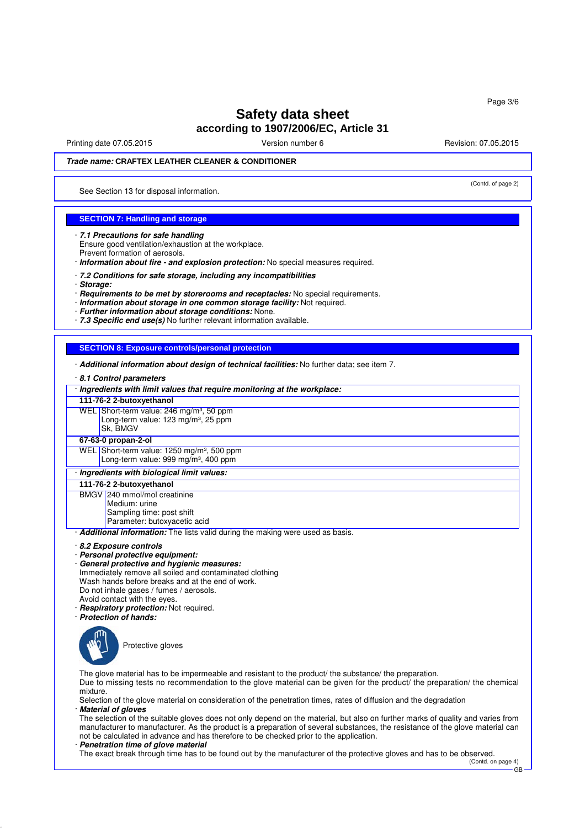Printing date 07.05.2015 **Version number 6** Newsley Revision: 07.05.2015

(Contd. of page 2)

### **Trade name: CRAFTEX LEATHER CLEANER & CONDITIONER**

See Section 13 for disposal information.

### **SECTION 7: Handling and storage**

· **7.1 Precautions for safe handling** Ensure good ventilation/exhaustion at the workplace. Prevent formation of aerosols.

· **Information about fire - and explosion protection:** No special measures required.

· **7.2 Conditions for safe storage, including any incompatibilities**

· **Storage:**

· **Requirements to be met by storerooms and receptacles:** No special requirements.

· **Information about storage in one common storage facility:** Not required.

· **Further information about storage conditions:** None.

· **7.3 Specific end use(s)** No further relevant information available.

### **SECTION 8: Exposure controls/personal protection**

· **Additional information about design of technical facilities:** No further data; see item 7.

· **8.1 Control parameters**

| · Ingredients with limit values that require monitoring at the workplace:                                                                                                                                                                                                                                                                                             |  |  |  |
|-----------------------------------------------------------------------------------------------------------------------------------------------------------------------------------------------------------------------------------------------------------------------------------------------------------------------------------------------------------------------|--|--|--|
| 111-76-2 2-butoxyethanol                                                                                                                                                                                                                                                                                                                                              |  |  |  |
| WEL Short-term value: 246 mg/m <sup>3</sup> , 50 ppm                                                                                                                                                                                                                                                                                                                  |  |  |  |
| Long-term value: 123 mg/m <sup>3</sup> , 25 ppm                                                                                                                                                                                                                                                                                                                       |  |  |  |
| Sk. BMGV                                                                                                                                                                                                                                                                                                                                                              |  |  |  |
| 67-63-0 propan-2-ol                                                                                                                                                                                                                                                                                                                                                   |  |  |  |
| WEL Short-term value: 1250 mg/m <sup>3</sup> , 500 ppm                                                                                                                                                                                                                                                                                                                |  |  |  |
| Long-term value: 999 mg/m <sup>3</sup> , 400 ppm                                                                                                                                                                                                                                                                                                                      |  |  |  |
| · Ingredients with biological limit values:                                                                                                                                                                                                                                                                                                                           |  |  |  |
| 111-76-2 2-butoxyethanol                                                                                                                                                                                                                                                                                                                                              |  |  |  |
| BMGV 240 mmol/mol creatinine                                                                                                                                                                                                                                                                                                                                          |  |  |  |
| Medium: urine                                                                                                                                                                                                                                                                                                                                                         |  |  |  |
| Sampling time: post shift<br>Parameter: butoxyacetic acid                                                                                                                                                                                                                                                                                                             |  |  |  |
| Additional information: The lists valid during the making were used as basis.                                                                                                                                                                                                                                                                                         |  |  |  |
| 8.2 Exposure controls<br>· Personal protective equipment:<br>General protective and hygienic measures:<br>Immediately remove all soiled and contaminated clothing<br>Wash hands before breaks and at the end of work.<br>Do not inhale gases / fumes / aerosols.<br>Avoid contact with the eyes.<br>· Respiratory protection: Not required.<br>· Protection of hands: |  |  |  |
| Protective gloves                                                                                                                                                                                                                                                                                                                                                     |  |  |  |
| The glove material has to be impermeable and resistant to the product/ the substance/ the preparation.<br>Due to missing tests no recommendation to the glove material can be given for the product/ the preparation/ the chemical<br>mixture.<br>Selection of the glove material on consideration of the penetration times, rates of diffusion and the degradation   |  |  |  |

· **Material of gloves**

The selection of the suitable gloves does not only depend on the material, but also on further marks of quality and varies from manufacturer to manufacturer. As the product is a preparation of several substances, the resistance of the glove material can not be calculated in advance and has therefore to be checked prior to the application.

· **Penetration time of glove material**

The exact break through time has to be found out by the manufacturer of the protective gloves and has to be observed.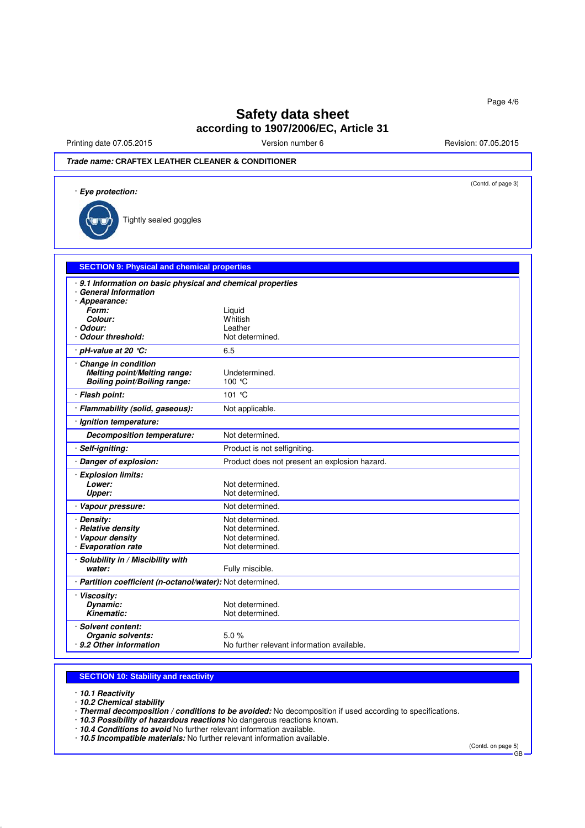Printing date 07.05.2015 **Version number 6** Revision: 07.05.2015 **Revision: 07.05.2015** 

## **Trade name: CRAFTEX LEATHER CLEANER & CONDITIONER**

| · Eye protection:                                                                                 | (Contd. of page 3)                            |
|---------------------------------------------------------------------------------------------------|-----------------------------------------------|
| Tightly sealed goggles                                                                            |                                               |
| <b>SECTION 9: Physical and chemical properties</b>                                                |                                               |
| 9.1 Information on basic physical and chemical properties<br>· General Information                |                                               |
| · Appearance:                                                                                     |                                               |
| Form:                                                                                             | Liquid                                        |
| Colour:                                                                                           | Whitish                                       |
| · Odour:                                                                                          | Leather                                       |
| · Odour threshold:                                                                                | Not determined.                               |
| $\cdot$ pH-value at 20 $\degree$ C:                                                               | 6.5                                           |
| Change in condition<br><b>Melting point/Melting range:</b><br><b>Boiling point/Boiling range:</b> | Undetermined.<br>100 °C                       |
| · Flash point:                                                                                    | 101 °C                                        |
| · Flammability (solid, gaseous):                                                                  | Not applicable.                               |
| · Ignition temperature:                                                                           |                                               |
| <b>Decomposition temperature:</b>                                                                 | Not determined.                               |
| · Self-igniting:                                                                                  | Product is not selfigniting.                  |
| · Danger of explosion:                                                                            | Product does not present an explosion hazard. |
| · Explosion limits:                                                                               |                                               |
| Lower:                                                                                            | Not determined.                               |
| <b>Upper:</b>                                                                                     | Not determined.                               |
| · Vapour pressure:                                                                                | Not determined.                               |
| · Density:                                                                                        | Not determined.                               |
| · Relative density                                                                                | Not determined.                               |
| · Vapour density                                                                                  | Not determined.                               |
| · Evaporation rate                                                                                | Not determined.                               |
| · Solubility in / Miscibility with<br>water:                                                      | Fully miscible.                               |
| · Partition coefficient (n-octanol/water): Not determined.                                        |                                               |
| · Viscosity:                                                                                      |                                               |
| Dynamic:                                                                                          | Not determined.                               |
| Kinematic:                                                                                        | Not determined.                               |
| · Solvent content:                                                                                |                                               |
| Organic solvents:                                                                                 | 5.0%                                          |
| · 9.2 Other information                                                                           | No further relevant information available.    |

#### **SECTION 10: Stability and reactivity**

· **10.1 Reactivity**

· **10.2 Chemical stability**

· **Thermal decomposition / conditions to be avoided:** No decomposition if used according to specifications.

· **10.3 Possibility of hazardous reactions** No dangerous reactions known.

· **10.4 Conditions to avoid** No further relevant information available.

· **10.5 Incompatible materials:** No further relevant information available.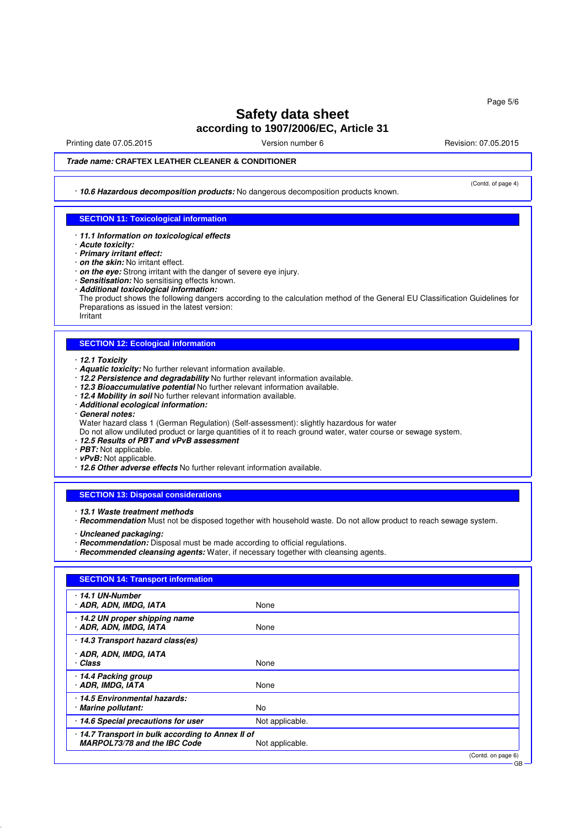Printing date 07.05.2015 **Principal and COVID-100** Version number 6 Revision: 07.05.2015

(Contd. of page 4)

### **Trade name: CRAFTEX LEATHER CLEANER & CONDITIONER**

· **10.6 Hazardous decomposition products:** No dangerous decomposition products known.

### **SECTION 11: Toxicological information**

- · **11.1 Information on toxicological effects**
- · **Acute toxicity:**
- · **Primary irritant effect:**
- · **on the skin:** No irritant effect.
- · **on the eye:** Strong irritant with the danger of severe eye injury.
- · **Sensitisation:** No sensitising effects known.
- · **Additional toxicological information:**

The product shows the following dangers according to the calculation method of the General EU Classification Guidelines for Preparations as issued in the latest version:

Irritant

#### **SECTION 12: Ecological information**

- · **12.1 Toxicity**
- · **Aquatic toxicity:** No further relevant information available.
- · **12.2 Persistence and degradability** No further relevant information available.
- 12.3 Bioaccumulative potential No further relevant information available.
- · **12.4 Mobility in soil** No further relevant information available.
- · **Additional ecological information:**
- · **General notes:**
- Water hazard class 1 (German Regulation) (Self-assessment): slightly hazardous for water
- Do not allow undiluted product or large quantities of it to reach ground water, water course or sewage system.
- · **12.5 Results of PBT and vPvB assessment**
- · **PBT:** Not applicable.
- · **vPvB:** Not applicable.
- · **12.6 Other adverse effects** No further relevant information available.

#### **SECTION 13: Disposal considerations**

· **13.1 Waste treatment methods**

- · **Recommendation** Must not be disposed together with household waste. Do not allow product to reach sewage system.
- · **Uncleaned packaging:**
- · **Recommendation:** Disposal must be made according to official regulations.
- · **Recommended cleansing agents:** Water, if necessary together with cleansing agents.

| <b>SECTION 14: Transport information</b>                                        |                    |
|---------------------------------------------------------------------------------|--------------------|
| 14.1 UN-Number<br>· ADR, ADN, IMDG, IATA                                        | None               |
| $\cdot$ 14.2 UN proper shipping name<br>· ADR, ADN, IMDG, IATA                  | None               |
| 14.3 Transport hazard class(es)                                                 |                    |
| · ADR, ADN, IMDG, IATA<br>· Class                                               | None               |
| 14.4 Packing group<br>· ADR, IMDG, IATA                                         | None               |
| 14.5 Environmental hazards:<br>· Marine pollutant:                              | No.                |
| 14.6 Special precautions for user                                               | Not applicable.    |
| 14.7 Transport in bulk according to Annex II of<br>MARPOL73/78 and the IBC Code | Not applicable.    |
|                                                                                 | (Contd. on page 6) |

GB